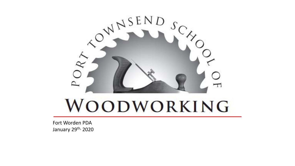

# WOODWORKING

Fort Worden PDA January 29th, 2020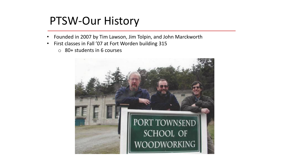### PTSW-Our History

- Founded in 2007 by Tim Lawson, Jim Tolpin, and John Marckworth
- First classes in Fall '07 at Fort Worden building 315
	- o 80+ students in 6 courses

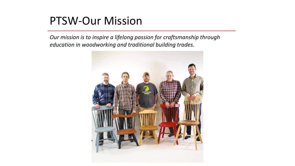#### PTSW-Our Mission

![](_page_2_Picture_2.jpeg)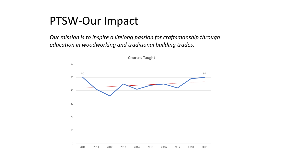#### PTSW-Our Impact

![](_page_3_Figure_2.jpeg)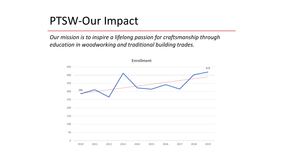#### PTSW-Our Impact

![](_page_4_Figure_2.jpeg)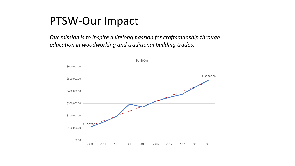#### PTSW-Our Impact

![](_page_5_Figure_2.jpeg)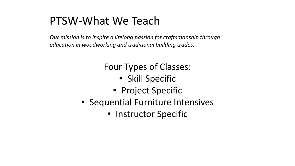*Our mission is to inspire a lifelong passion for craftsmanship through education in woodworking and traditional building trades.*

#### Four Types of Classes:

- Skill Specific
- Project Specific
- Sequential Furniture Intensives
	- Instructor Specific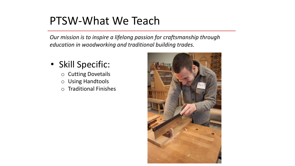- Skill Specific:
	- o Cutting Dovetails
	- o Using Handtools
	- o Traditional Finishes

![](_page_7_Picture_6.jpeg)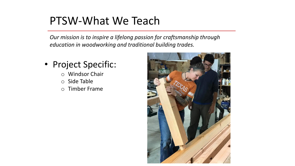- Project Specific:
	- o Windsor Chair
	- o Side Table
	- o Timber Frame

![](_page_8_Picture_6.jpeg)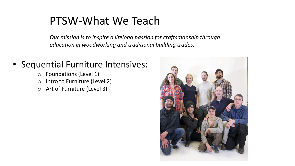*Our mission is to inspire a lifelong passion for craftsmanship through education in woodworking and traditional building trades.*

#### • Sequential Furniture Intensives:

- o Foundations (Level 1)
- o Intro to Furniture (Level 2)
- o Art of Furniture (Level 3)

![](_page_9_Picture_6.jpeg)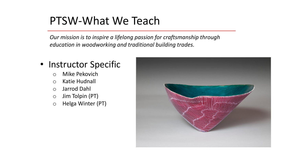*Our mission is to inspire a lifelong passion for craftsmanship through education in woodworking and traditional building trades.*

#### • Instructor Specific

- o Mike Pekovich
- o Katie Hudnall
- o Jarrod Dahl
- o Jim Tolpin (PT)
- o Helga Winter (PT)

![](_page_10_Picture_8.jpeg)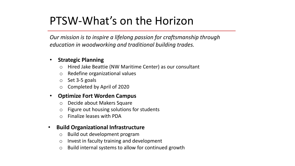# PTSW-What's on the Horizon

*Our mission is to inspire a lifelong passion for craftsmanship through education in woodworking and traditional building trades.*

#### • **Strategic Planning**

- o Hired Jake Beattie (NW Maritime Center) as our consultant
- o Redefine organizational values
- o Set 3-5 goals
- o Completed by April of 2020

#### • **Optimize Fort Worden Campus**

- o Decide about Makers Square
- Figure out housing solutions for students
- o Finalize leases with PDA

#### • **Build Organizational Infrastructure**

- o Build out development program
- o Invest in faculty training and development
- o Build internal systems to allow for continued growth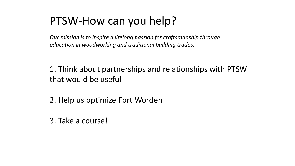# PTSW-How can you help?

*Our mission is to inspire a lifelong passion for craftsmanship through education in woodworking and traditional building trades.*

1. Think about partnerships and relationships with PTSW that would be useful

2. Help us optimize Fort Worden

3. Take a course!